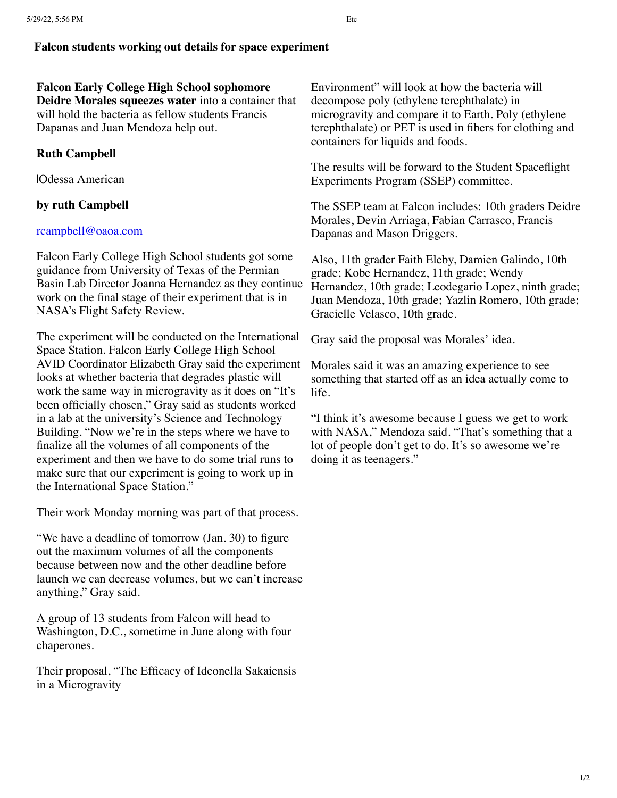## **Falcon students working out details for space experiment**

**Falcon Early College High School sophomore Deidre Morales squeezes water** into a container that will hold the bacteria as fellow students Francis Dapanas and Juan Mendoza help out.

## **Ruth Campbell**

|Odessa American

## **by ruth Campbell**

## [rcampbell@oaoa.com](mailto:rcampbell@oaoa.com)

Falcon Early College High School students got some guidance from University of Texas of the Permian Basin Lab Director Joanna Hernandez as they continue work on the final stage of their experiment that is in NASA's Flight Safety Review.

The experiment will be conducted on the International Space Station. Falcon Early College High School AVID Coordinator Elizabeth Gray said the experiment looks at whether bacteria that degrades plastic will work the same way in microgravity as it does on "It's been officially chosen," Gray said as students worked in a lab at the university's Science and Technology Building. "Now we're in the steps where we have to finalize all the volumes of all components of the experiment and then we have to do some trial runs to make sure that our experiment is going to work up in the International Space Station."

Their work Monday morning was part of that process.

"We have a deadline of tomorrow (Jan. 30) to figure out the maximum volumes of all the components because between now and the other deadline before launch we can decrease volumes, but we can't increase anything," Gray said.

A group of 13 students from Falcon will head to Washington, D.C., sometime in June along with four chaperones.

Their proposal, "The Efficacy of Ideonella Sakaiensis in a Microgravity

Environment" will look at how the bacteria will decompose poly (ethylene terephthalate) in microgravity and compare it to Earth. Poly (ethylene terephthalate) or PET is used in fibers for clothing and containers for liquids and foods.

The results will be forward to the Student Spaceflight Experiments Program (SSEP) committee.

The SSEP team at Falcon includes: 10th graders Deidre Morales, Devin Arriaga, Fabian Carrasco, Francis Dapanas and Mason Driggers.

Also, 11th grader Faith Eleby, Damien Galindo, 10th grade; Kobe Hernandez, 11th grade; Wendy Hernandez, 10th grade; Leodegario Lopez, ninth grade; Juan Mendoza, 10th grade; Yazlin Romero, 10th grade; Gracielle Velasco, 10th grade.

Gray said the proposal was Morales' idea.

Morales said it was an amazing experience to see something that started off as an idea actually come to life.

"I think it's awesome because I guess we get to work with NASA," Mendoza said. "That's something that a lot of people don't get to do. It's so awesome we're doing it as teenagers."